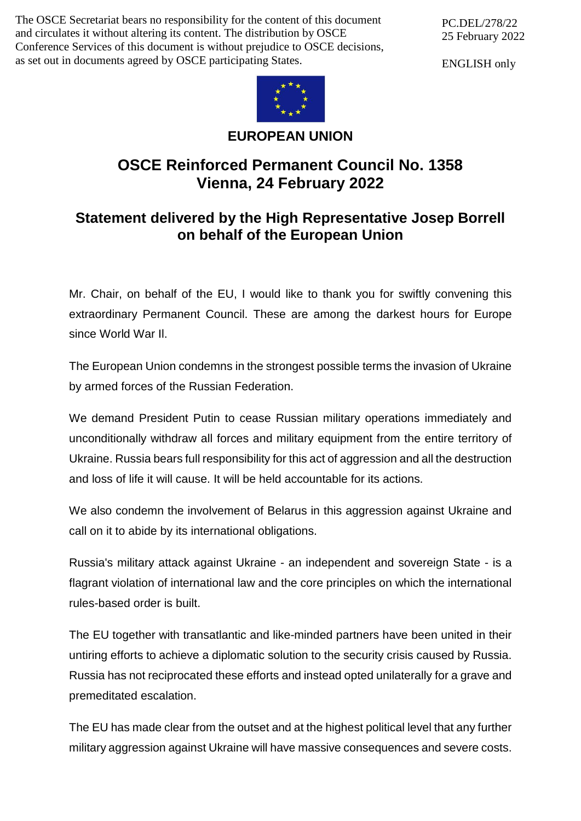The OSCE Secretariat bears no responsibility for the content of this document and circulates it without altering its content. The distribution by OSCE Conference Services of this document is without prejudice to OSCE decisions, as set out in documents agreed by OSCE participating States.

PC.DEL/278/22 25 February 2022

ENGLISH only



## **EUROPEAN UNION**

## **OSCE Reinforced Permanent Council No. 1358 Vienna, 24 February 2022**

## **Statement delivered by the High Representative Josep Borrell on behalf of the European Union**

Mr. Chair, on behalf of the EU, I would like to thank you for swiftly convening this extraordinary Permanent Council. These are among the darkest hours for Europe since World War Il.

The European Union condemns in the strongest possible terms the invasion of Ukraine by armed forces of the Russian Federation.

We demand President Putin to cease Russian military operations immediately and unconditionally withdraw all forces and military equipment from the entire territory of Ukraine. Russia bears full responsibility for this act of aggression and all the destruction and loss of life it will cause. It will be held accountable for its actions.

We also condemn the involvement of Belarus in this aggression against Ukraine and call on it to abide by its international obligations.

Russia's military attack against Ukraine - an independent and sovereign State - is a flagrant violation of international law and the core principles on which the international rules-based order is built.

The EU together with transatlantic and like-minded partners have been united in their untiring efforts to achieve a diplomatic solution to the security crisis caused by Russia. Russia has not reciprocated these efforts and instead opted unilaterally for a grave and premeditated escalation.

The EU has made clear from the outset and at the highest political level that any further military aggression against Ukraine will have massive consequences and severe costs.